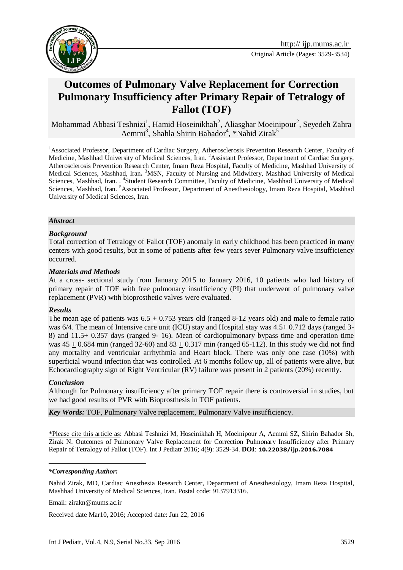

# **Outcomes of Pulmonary Valve Replacement for Correction Pulmonary Insufficiency after Primary Repair of Tetralogy of Fallot (TOF)**

Mohammad Abbasi Teshnizi<sup>1</sup>, Hamid Hoseinikhah<sup>2</sup>, Aliasghar Moeinipour<sup>2</sup>, Seyedeh Zahra Aemmi<sup>3</sup>, Shahla Shirin Bahador<sup>4</sup>, \*Nahid Zirak<sup>5</sup>

<sup>1</sup>Associated Professor, Department of Cardiac Surgery, Atherosclerosis Prevention Research Center, Faculty of Medicine, Mashhad University of Medical Sciences, Iran. <sup>2</sup>Assistant Professor, Department of Cardiac Surgery, Atherosclerosis Prevention Research Center, Imam Reza Hospital, Faculty of Medicine, Mashhad University of Medical Sciences, Mashhad, Iran**.** <sup>3</sup>MSN, Faculty of Nursing and Midwifery, Mashhad University of Medical Sciences, Mashhad, Iran. . <sup>4</sup>Student Research Committee, Faculty of Medicine, Mashhad University of Medical Sciences, Mashhad, Iran. <sup>5</sup>Associated Professor, Department of Anesthesiology, Imam Reza Hospital, Mashhad University of Medical Sciences, Iran.

#### *Abstract*

#### *Background*

Total correction of Tetralogy of Fallot (TOF) anomaly in early childhood has been practiced in many centers with good results, but in some of patients after few years sever Pulmonary valve insufficiency occurred.

#### *Materials and Methods*

At a cross- sectional study from January 2015 to January 2016, 10 patients who had history of primary repair of TOF with free pulmonary insufficiency (PI) that underwent of pulmonary valve replacement (PVR) with bioprosthetic valves were evaluated.

#### *Results*

The mean age of patients was  $6.5 + 0.753$  years old (ranged 8-12 years old) and male to female ratio was 6/4. The mean of Intensive care unit (ICU) stay and Hospital stay was 4.5+ 0.712 days (ranged 3-8) and 11.5+ 0.357 days (ranged 9- 16). Mean of cardiopulmonary bypass time and operation time was  $45 + 0.684$  min (ranged  $32-60$ ) and  $83 + 0.317$  min (ranged 65-112). In this study we did not find any mortality and ventricular arrhythmia and Heart block. There was only one case (10%) with superficial wound infection that was controlled. At 6 months follow up, all of patients were alive, but Echocardiography sign of Right Ventricular (RV) failure was present in 2 patients (20%) recently.

## *Conclusion*

Although for Pulmonary insufficiency after primary TOF repair there is controversial in studies, but we had good results of PVR with Bioprosthesis in TOF patients.

*Key Words:* TOF, Pulmonary Valve replacement, Pulmonary Valve insufficiency.

\*Please cite this article as: Abbasi Teshnizi M, Hoseinikhah H, Moeinipour A, Aemmi SZ, Shirin Bahador Sh, Zirak N. Outcomes of Pulmonary Valve Replacement for Correction Pulmonary Insufficiency after Primary Repair of Tetralogy of Fallot (TOF). Int J Pediatr 2016; 4(9): 3529-34. **DOI**: **[10.22038/ijp.2016.7084](http://dx.doi.org/10.22038/ijp.2016.7084)**

#### 1 *\*Corresponding Author:*

Nahid Zirak, MD, Cardiac Anesthesia Research Center, Department of Anesthesiology, Imam Reza Hospital, Mashhad University of Medical Sciences, Iran. Postal code: 9137913316.

Email: zirakn@mums.ac.ir

Received date Mar10, 2016; Accepted date: Jun 22, 2016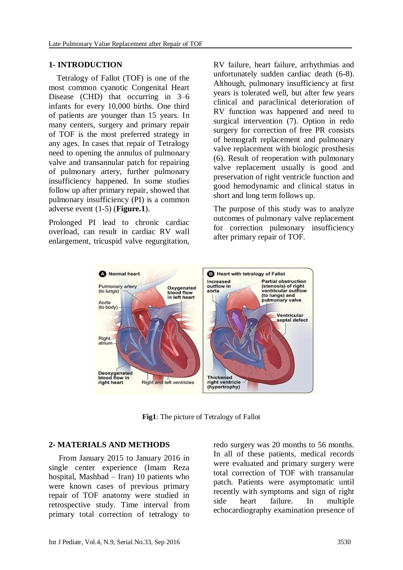## **1- INTRODUCTION**

 Tetralogy of Fallot (TOF) is one of the most common cyanotic Congenital Heart Disease (CHD) that occurring in 3–6 infants for every 10,000 births. One third of patients are younger than 15 years. In many centers, surgery and primary repair of TOF is the most preferred strategy in any ages. In cases that repair of Tetralogy need to opening the annulus of pulmonary valve and transannular patch for repairing of pulmonary artery, further pulmonary insufficiency happened. In some studies follow up after primary repair, showed that pulmonary insufficiency (PI) is a common adverse event (1-5) (**Figure.1**).

Prolonged PI lead to chronic cardiac overload, can result in cardiac RV wall enlargement, tricuspid valve regurgitation,

RV failure, heart failure, arrhythmias and unfortunately sudden cardiac death (6-8). Although, pulmonary insufficiency at first years is tolerated well, but after few years clinical and paraclinical deterioration of RV function was happened and need to surgical intervention (7). Option in redo surgery for correction of free PR consists of hemograft replacement and pulmonary valve replacement with biologic prosthesis (6). Result of reoperation with pulmonary valve replacement usually is good and preservation of right ventricle function and good hemodynamic and clinical status in short and long term follows up.

The purpose of this study was to analyze outcomes of pulmonary valve replacement for correction pulmonary insufficiency after primary repair of TOF.



**Fig1**: The picture of Tetralogy of Fallot

## **2- MATERIALS AND METHODS**

 From January 2015 to January 2016 in single center experience (Imam Reza hospital, Mashhad – Iran) 10 patients who were known cases of previous primary repair of TOF anatomy were studied in retrospective study. Time interval from primary total correction of tetralogy to redo surgery was 20 months to 56 months. In all of these patients, medical records were evaluated and primary surgery were total correction of TOF with transanular patch. Patients were asymptomatic until recently with symptoms and sign of right side heart failure. In multiple echocardiography examination presence of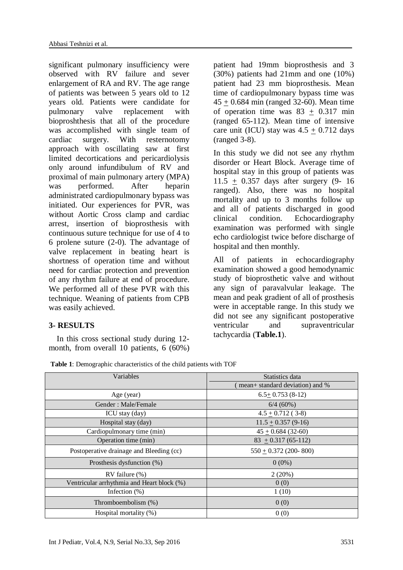significant pulmonary insufficiency were observed with RV failure and sever enlargement of RA and RV. The age range of patients was between 5 years old to 12 years old. Patients were candidate for pulmonary valve replacement with bioproshthesis that all of the procedure was accomplished with single team of cardiac surgery. With resternotomy approach with oscillating saw at first limited decortications and pericardiolysis only around infundibulum of RV and proximal of main pulmonary artery (MPA) was performed. After heparin administrated cardiopulmonary bypass was initiated. Our experiences for PVR, was without Aortic Cross clamp and cardiac arrest, insertion of bioprosthesis with continuous suture technique for use of 4 to 6 prolene suture (2-0). The advantage of valve replacement in beating heart is shortness of operation time and without need for cardiac protection and prevention of any rhythm failure at end of procedure. We performed all of these PVR with this technique. Weaning of patients from CPB was easily achieved.

# **3- RESULTS**

 In this cross sectional study during 12 month, from overall 10 patients, 6 (60%) patient had 19mm bioprosthesis and 3 (30%) patients had 21mm and one (10%) patient had 23 mm bioprosthesis. Mean time of cardiopulmonary bypass time was  $45 \pm 0.684$  min (ranged 32-60). Mean time of operation time was  $83 + 0.317$  min (ranged 65-112). Mean time of intensive care unit (ICU) stay was  $4.5 + 0.712$  days (ranged 3-8).

In this study we did not see any rhythm disorder or Heart Block. Average time of hospital stay in this group of patients was 11.5 + 0.357 days after surgery (9- 16 ranged). Also, there was no hospital mortality and up to 3 months follow up and all of patients discharged in good clinical condition. Echocardiography examination was performed with single echo cardiologist twice before discharge of hospital and then monthly.

All of patients in echocardiography examination showed a good hemodynamic study of bioprosthetic valve and without any sign of paravalvular leakage. The mean and peak gradient of all of prosthesis were in acceptable range. In this study we did not see any significant postoperative ventricular and supraventricular tachycardia (**Table.1**).

| Variables                                  | Statistics data                 |
|--------------------------------------------|---------------------------------|
|                                            | mean+ standard deviation) and % |
| Age (year)                                 | $6.5 + 0.753(8-12)$             |
| Gender: Male/Female                        | 6/4(60%)                        |
| ICU stay (day)                             | $4.5 \pm 0.712$ (3-8)           |
| Hospital stay (day)                        | $11.5 + 0.357(9-16)$            |
| Cardiopulmonary time (min)                 | $45 + 0.684(32-60)$             |
| Operation time (min)                       | $83 + 0.317(65-112)$            |
| Postoperative drainage and Bleeding (cc)   | $550 + 0.372$ (200-800)         |
| Prosthesis dysfunction (%)                 | $0(0\%)$                        |
| $RV$ failure $(\% )$                       | 2(20%)                          |
| Ventricular arrhythmia and Heart block (%) | 0(0)                            |
| Infection $(\%)$                           | 1(10)                           |
| Thromboembolism (%)                        | 0(0)                            |
| Hospital mortality $(\%)$                  | 0(0)                            |

**Table 1**: Demographic characteristics of the child patients with TOF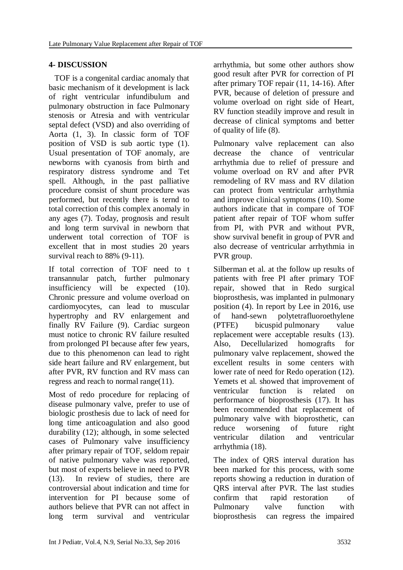# **4- DISCUSSION**

 TOF is a congenital cardiac anomaly that basic mechanism of it development is lack of right ventricular infundibulum and pulmonary obstruction in face Pulmonary stenosis or Atresia and with ventricular septal defect (VSD) and also overriding of Aorta (1, 3). In classic form of TOF position of VSD is sub aortic type (1). Usual presentation of TOF anomaly, are newborns with cyanosis from birth and respiratory distress syndrome and Tet spell. Although, in the past palliative procedure consist of shunt procedure was performed, but recently there is ternd to total correction of this complex anomaly in any ages (7). Today, prognosis and result and long term survival in newborn that underwent total correction of TOF is excellent that in most studies 20 years survival reach to 88% (9-11).

If total correction of TOF need to t transannular patch, further pulmonary insufficiency will be expected (10). Chronic pressure and volume overload on cardiomyocytes, can lead to muscular hypertrophy and RV enlargement and finally RV Failure (9). Cardiac surgeon must notice to chronic RV failure resulted from prolonged PI because after few years, due to this phenomenon can lead to right side heart failure and RV enlargement, but after PVR, RV function and RV mass can regress and reach to normal range(11).

Most of redo procedure for replacing of disease pulmonary valve, prefer to use of biologic prosthesis due to lack of need for long time anticoagulation and also good durability (12); although, in some selected cases of Pulmonary valve insufficiency after primary repair of TOF, seldom repair of native pulmonary valve was reported, but most of experts believe in need to PVR (13). In review of studies, there are controversial about indication and time for intervention for PI because some of authors believe that PVR can not affect in long term survival and ventricular

arrhythmia, but some other authors show good result after PVR for correction of PI after primary TOF repair (11, 14-16). After PVR, because of deletion of pressure and volume overload on right side of Heart, RV function steadily improve and result in decrease of clinical symptoms and better of quality of life (8).

Pulmonary valve replacement can also decrease the chance of ventricular arrhythmia due to relief of pressure and volume overload on RV and after PVR remodeling of RV mass and RV dilation can protect from ventricular arrhythmia and improve clinical symptoms (10). Some authors indicate that in compare of TOF patient after repair of TOF whom suffer from PI, with PVR and without PVR, show survival benefit in group of PVR and also decrease of ventricular arrhythmia in PVR group.

Silberman et al. at the follow up results of patients with free PI after primary TOF repair, showed that in Redo surgical bioprosthesis, was implanted in pulmonary position (4). In report by Lee in 2016, use of hand-sewn polytetrafluoroethylene (PTFE) bicuspid pulmonary value replacement were acceptable results (13). Also, Decellularized homografts for pulmonary valve replacement, showed the excellent results in some centers with lower rate of need for Redo operation (12). Yemets et al. showed that improvement of ventricular function is related on performance of bioprosthesis (17). It has been recommended that replacement of pulmonary valve with bioprosthetic, can reduce worsening of future right ventricular dilation and ventricular arrhythmia (18).

The index of QRS interval duration has been marked for this process, with some reports showing a reduction in duration of QRS interval after PVR. The last studies confirm that rapid restoration of Pulmonary valve function with bioprosthesis can regress the impaired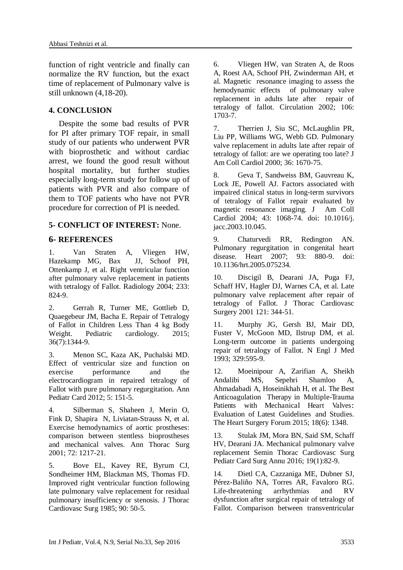function of right ventricle and finally can normalize the RV function, but the exact time of replacement of Pulmonary valve is still unknown (4,18-20).

# **4. CONCLUSION**

 Despite the some bad results of PVR for PI after primary TOF repair, in small study of our patients who underwent PVR with bioprosthetic and without cardiac arrest, we found the good result without hospital mortality, but further studies especially long-term study for follow up of patients with PVR and also compare of them to TOF patients who have not PVR procedure for correction of PI is needed.

# **5- CONFLICT OF INTEREST:** None.

## **6- REFERENCES**

1. Van Straten A, Vliegen HW, Hazekamp MG, Bax JJ, Schoof PH, Ottenkamp J, et al. Right ventricular function after pulmonary valve replacement in patients with tetralogy of Fallot. Radiology 2004; 233: 824-9.

2. Gerrah R, Turner ME, Gottlieb D, Quaegebeur JM, Bacha E. Repair of Tetralogy of Fallot in Children Less Than 4 kg Body Weight. Pediatric cardiology. 2015; 36(7):1344-9.

3. Menon SC, Kaza AK, Puchalski MD. Effect of ventricular size and function on exercise performance and the electrocardiogram in repaired tetralogy of Fallot with pure pulmonary regurgitation. Ann Pediatr Card 2012; 5: 151-5.

4. Silberman S, Shaheen J, Merin O, Fink D, Shapira N, Liviatan-Strauss N, et al. Exercise hemodynamics of aortic prostheses: comparison between stentless bioprostheses and mechanical valves. Ann Thorac Surg 2001; 72: 1217-21.

5. Bove EL, Kavey RE, Byrum CJ, Sondheimer HM, Blackman MS, Thomas FD. Improved right ventricular function following late pulmonary valve replacement for residual pulmonary insufficiency or stenosis. J Thorac Cardiovasc Surg 1985; 90: 50-5.

6. Vliegen HW, van Straten A, de Roos A, Roest AA, Schoof PH, Zwinderman AH, et al. Magnetic resonance imaging to assess the hemodynamic effects of pulmonary valve replacement in adults late after repair of tetralogy of fallot. Circulation 2002; 106: 1703-7.

7. Therrien J, Siu SC, McLaughlin PR, Liu PP, Williams WG, Webb GD. Pulmonary valve replacement in adults late after repair of tetralogy of fallot: are we operating too late? J Am Coll Cardiol 2000; 36: 1670-75.

8. Geva T, Sandweiss BM, Gauvreau K, Lock JE, Powell AJ. Factors associated with impaired clinical status in long-term survivors of tetralogy of Fallot repair evaluated by magnetic resonance imaging. J Am Coll Cardiol 2004; 43: 1068-74. doi: 10.1016/j. jacc.2003.10.045.

9. Chaturvedi RR, Redington AN. Pulmonary regurgitation in congenital heart disease. Heart 2007; 93: 880-9. doi: 10.1136/hrt.2005.075234.

10. Discigil B, Dearani JA, Puga FJ, Schaff HV, Hagler DJ, Warnes CA, et al. Late pulmonary valve replacement after repair of tetralogy of Fallot. J Thorac Cardiovasc Surgery 2001 121: 344-51.

11. Murphy JG, Gersh BJ, Mair DD, Fuster V, McGoon MD, Ilstrup DM, et al. Long-term outcome in patients undergoing repair of tetralogy of Fallot. N Engl J Med 1993; 329:595-9.

12. Moeinipour A, Zarifian A, Sheikh Andalibi MS, Sepehri Shamloo A, Ahmadabadi A, Hoseinikhah H, et al. The Best Anticoagulation Therapy in Multiple-Trauma Patients with Mechanical Heart Valves: Evaluation of Latest Guidelines and Studies. The Heart Surgery Forum 2015; 18(6): 1348.

13. [Stulak JM,](http://www.ncbi.nlm.nih.gov/pubmed/?term=Stulak%20JM%5BAuthor%5D&cauthor=true&cauthor_uid=27060049) [Mora BN,](http://www.ncbi.nlm.nih.gov/pubmed/?term=Mora%20BN%5BAuthor%5D&cauthor=true&cauthor_uid=27060049) [Said SM,](http://www.ncbi.nlm.nih.gov/pubmed/?term=Said%20SM%5BAuthor%5D&cauthor=true&cauthor_uid=27060049) [Schaff](http://www.ncbi.nlm.nih.gov/pubmed/?term=Schaff%20HV%5BAuthor%5D&cauthor=true&cauthor_uid=27060049)  [HV,](http://www.ncbi.nlm.nih.gov/pubmed/?term=Schaff%20HV%5BAuthor%5D&cauthor=true&cauthor_uid=27060049) [Dearani JA.](http://www.ncbi.nlm.nih.gov/pubmed/?term=Dearani%20JA%5BAuthor%5D&cauthor=true&cauthor_uid=27060049) Mechanical pulmonary valve replacement [Semin Thorac Cardiovasc Surg](http://www.ncbi.nlm.nih.gov/pubmed/27060049)  [Pediatr Card Surg Annu](http://www.ncbi.nlm.nih.gov/pubmed/27060049) 2016; 19(1):82-9.

14. [Dietl CA,](http://www.ncbi.nlm.nih.gov/pubmed/?term=Dietl%20CA%5BAuthor%5D&cauthor=true&cauthor_uid=7955286) [Cazzaniga ME,](http://www.ncbi.nlm.nih.gov/pubmed/?term=Cazzaniga%20ME%5BAuthor%5D&cauthor=true&cauthor_uid=7955286) [Dubner SJ,](http://www.ncbi.nlm.nih.gov/pubmed/?term=Dubner%20SJ%5BAuthor%5D&cauthor=true&cauthor_uid=7955286) [Pérez-Baliño NA,](http://www.ncbi.nlm.nih.gov/pubmed/?term=P%C3%A9rez-Bali%C3%B1o%20NA%5BAuthor%5D&cauthor=true&cauthor_uid=7955286) [Torres AR,](http://www.ncbi.nlm.nih.gov/pubmed/?term=Torres%20AR%5BAuthor%5D&cauthor=true&cauthor_uid=7955286) [Favaloro RG.](http://www.ncbi.nlm.nih.gov/pubmed/?term=Favaloro%20RG%5BAuthor%5D&cauthor=true&cauthor_uid=7955286) Life-threatening arrhythmias and RV dysfunction after surgical repair of tetralogy of Fallot. Comparison between transventricular